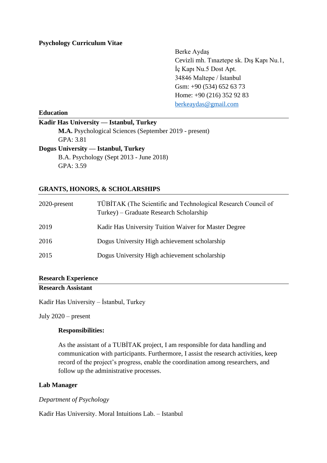# **Psychology Curriculum Vitae**

Berke Aydaş Cevizli mh. Tınaztepe sk. Dış Kapı Nu.1, İç Kapı Nu.5 Dost Apt. 34846 Maltepe / İstanbul Gsm: +90 (534) 652 63 73 Home: +90 (216) 352 92 83 [berkeaydas@gmail.com](mailto:berkeaydas@gmail.com)

## **Education**

### **Kadir Has University — Istanbul, Turkey**

**M.A.** Psychological Sciences (September 2019 - present) GPA: 3.81 **Dogus University — Istanbul, Turkey** B.A. Psychology (Sept 2013 - June 2018) GPA: 3.59

# **GRANTS, HONORS, & SCHOLARSHIPS**

| 2020-present | TÜBİTAK (The Scientific and Technological Research Council of<br>Turkey) – Graduate Research Scholarship |
|--------------|----------------------------------------------------------------------------------------------------------|
| 2019         | Kadir Has University Tuition Waiver for Master Degree                                                    |
| 2016         | Dogus University High achievement scholarship                                                            |
| 2015         | Dogus University High achievement scholarship                                                            |

# **Research Experience**

# **Research Assistant**

Kadir Has University – İstanbul, Turkey

July 2020 – present

### **Responsibilities:**

As the assistant of a TUBİTAK project, I am responsible for data handling and communication with participants. Furthermore, I assist the research activities, keep record of the project's progress, enable the coordination among researchers, and follow up the administrative processes.

### **Lab Manager**

# *Department of Psychology*

Kadir Has University. Moral Intuitions Lab. – Istanbul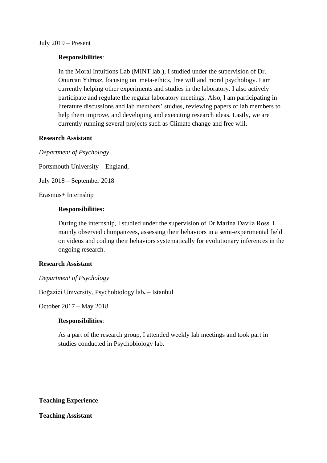## July 2019 – Present

# **Responsibilities**:

In the Moral Intuitions Lab (MINT lab.), I studied under the supervision of Dr. Onurcan Yılmaz, focusing on meta-ethics, free will and moral psychology. I am currently helping other experiments and studies in the laboratory. I also actively participate and regulate the regular laboratory meetings. Also, I am participating in literature discussions and lab members' studies, reviewing papers of lab members to help them improve, and developing and executing research ideas. Lastly, we are currently running several projects such as Climate change and free will.

# **Research Assistant**

*Department of Psychology*

Portsmouth University – England,

July 2018 – September 2018

Erasmus+ Internship

# **Responsibilities:**

During the internship, I studied under the supervision of Dr Marina Davila Ross. I mainly observed chimpanzees, assessing their behaviors in a semi-experimental field on videos and coding their behaviors systematically for evolutionary inferences in the ongoing research.

## **Research Assistant**

### *Department of Psychology*

Boğazici University, Psychobiology lab**.** – Istanbul

October 2017 – May 2018

### **Responsibilities**:

As a part of the research group, I attended weekly lab meetings and took part in studies conducted in Psychobiology lab.

**Teaching Experience**

### **Teaching Assistant**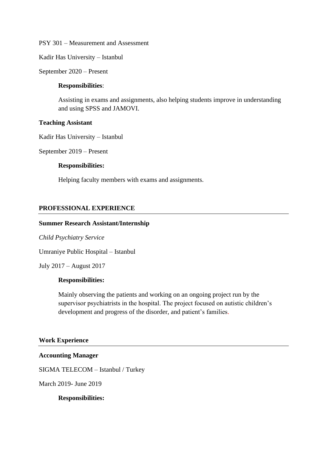PSY 301 – Measurement and Assessment

Kadir Has University – Istanbul

September 2020 – Present

### **Responsibilities**:

Assisting in exams and assignments, also helping students improve in understanding and using SPSS and JAMOVI.

#### **Teaching Assistant**

Kadir Has University – Istanbul

September 2019 – Present

### **Responsibilities:**

Helping faculty members with exams and assignments.

# **PROFESSIONAL EXPERIENCE**

#### **Summer Research Assistant/Internship**

#### *Child Psychiatry Service*

Umraniye Public Hospital – Istanbul

July 2017 – August 2017

# **Responsibilities:**

Mainly observing the patients and working on an ongoing project run by the supervisor psychiatrists in the hospital. The project focused on autistic children's development and progress of the disorder, and patient's families.

#### **Work Experience**

### **Accounting Manager**

SIGMA TELECOM – Istanbul / Turkey

March 2019- June 2019

### **Responsibilities:**